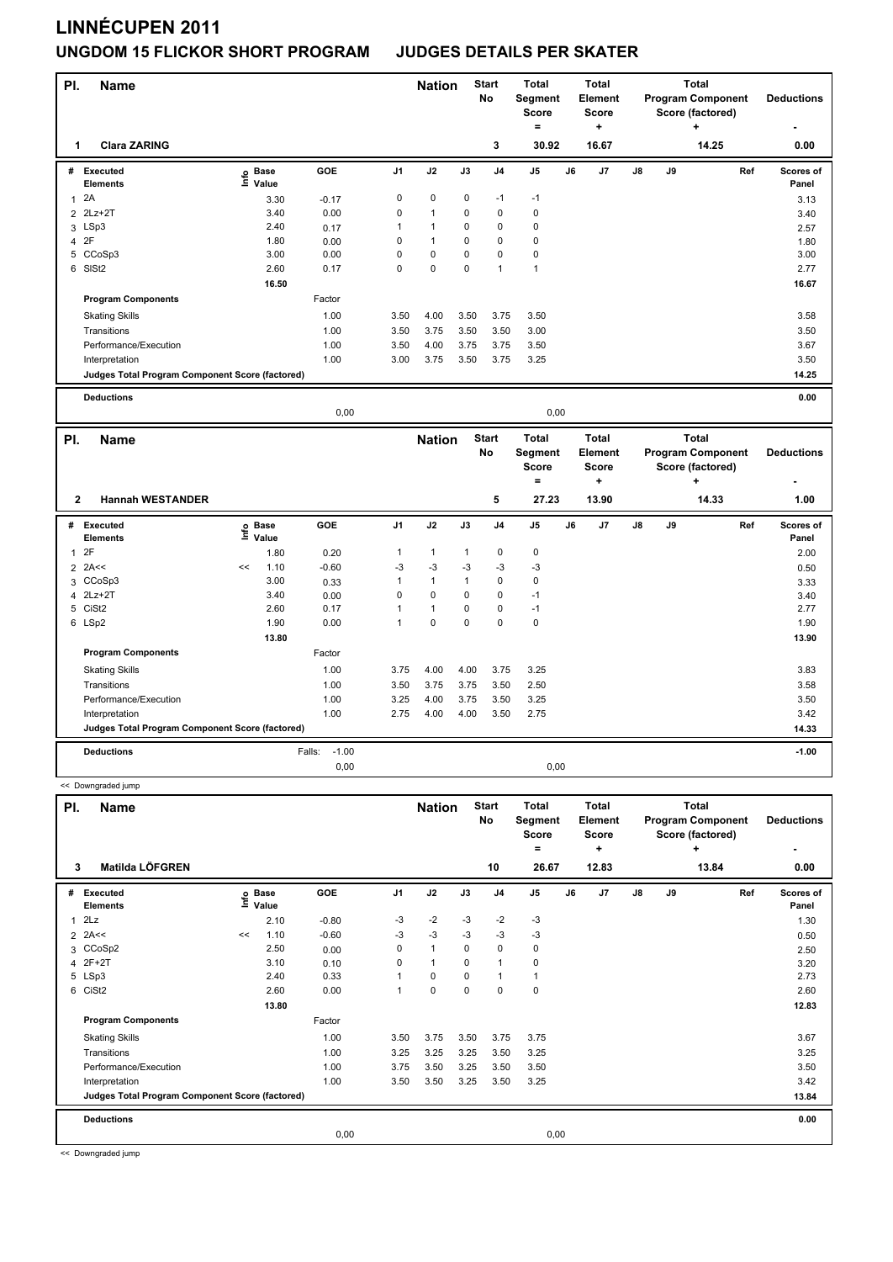| PI.          | <b>Name</b>                                     |                              |         |                | <b>Nation</b> |              | <b>Start</b><br>No | <b>Total</b><br>Segment<br>Score<br>$\equiv$ |    | <b>Total</b><br>Element<br><b>Score</b><br>÷ |    |    | <b>Total</b><br><b>Program Component</b><br>Score (factored)<br>÷ |     | <b>Deductions</b>  |
|--------------|-------------------------------------------------|------------------------------|---------|----------------|---------------|--------------|--------------------|----------------------------------------------|----|----------------------------------------------|----|----|-------------------------------------------------------------------|-----|--------------------|
| 1            | <b>Clara ZARING</b>                             |                              |         |                |               |              | 3                  | 30.92                                        |    | 16.67                                        |    |    | 14.25                                                             |     | 0.00               |
|              | # Executed<br><b>Elements</b>                   | e Base<br>⊑ Value            | GOE     | J1             | J2            | J3           | J4                 | J5                                           | J6 | J7                                           | J8 | J9 |                                                                   | Ref | Scores of<br>Panel |
| $\mathbf{1}$ | 2A                                              | 3.30                         | $-0.17$ | $\mathbf 0$    | $\mathbf 0$   | $\mathbf 0$  | $-1$               | $-1$                                         |    |                                              |    |    |                                                                   |     | 3.13               |
|              | 2 2Lz+2T                                        | 3.40                         | 0.00    | 0              | $\mathbf{1}$  | $\mathbf 0$  | $\mathbf 0$        | 0                                            |    |                                              |    |    |                                                                   |     | 3.40               |
|              | 3 LSp3                                          | 2.40                         | 0.17    | 1              | $\mathbf{1}$  | 0            | $\pmb{0}$          | $\mathbf 0$                                  |    |                                              |    |    |                                                                   |     | 2.57               |
|              | 4 2F                                            | 1.80                         | 0.00    | $\mathbf 0$    | $\mathbf{1}$  | 0            | $\mathbf 0$        | $\pmb{0}$                                    |    |                                              |    |    |                                                                   |     | 1.80               |
| 5            | CCoSp3                                          | 3.00                         | 0.00    | 0              | $\mathbf 0$   | 0            | $\mathbf 0$        | $\mathbf 0$                                  |    |                                              |    |    |                                                                   |     | 3.00               |
|              | 6 SISt2                                         | 2.60                         | 0.17    | $\Omega$       | $\mathbf 0$   | $\Omega$     | $\mathbf{1}$       | $\mathbf{1}$                                 |    |                                              |    |    |                                                                   |     | 2.77               |
|              |                                                 | 16.50                        |         |                |               |              |                    |                                              |    |                                              |    |    |                                                                   |     | 16.67              |
|              | <b>Program Components</b>                       |                              | Factor  |                |               |              |                    |                                              |    |                                              |    |    |                                                                   |     |                    |
|              | <b>Skating Skills</b>                           |                              | 1.00    | 3.50           | 4.00          | 3.50         | 3.75               | 3.50                                         |    |                                              |    |    |                                                                   |     | 3.58               |
|              | Transitions                                     |                              | 1.00    | 3.50           | 3.75          | 3.50         | 3.50               | 3.00                                         |    |                                              |    |    |                                                                   |     | 3.50               |
|              | Performance/Execution                           |                              | 1.00    | 3.50           | 4.00          | 3.75         | 3.75               | 3.50                                         |    |                                              |    |    |                                                                   |     | 3.67               |
|              | Interpretation                                  |                              | 1.00    | 3.00           | 3.75          | 3.50         | 3.75               | 3.25                                         |    |                                              |    |    |                                                                   |     | 3.50               |
|              | Judges Total Program Component Score (factored) |                              |         |                |               |              |                    |                                              |    |                                              |    |    |                                                                   |     | 14.25              |
|              |                                                 |                              |         |                |               |              |                    |                                              |    |                                              |    |    |                                                                   |     |                    |
|              | <b>Deductions</b>                               |                              |         |                |               |              |                    |                                              |    |                                              |    |    |                                                                   |     | 0.00               |
|              |                                                 |                              | 0,00    |                |               |              |                    | 0,00                                         |    |                                              |    |    |                                                                   |     |                    |
|              |                                                 |                              |         |                |               |              |                    |                                              |    |                                              |    |    |                                                                   |     |                    |
|              |                                                 |                              |         |                |               |              |                    |                                              |    |                                              |    |    |                                                                   |     |                    |
| PI.          | Name                                            |                              |         |                | <b>Nation</b> |              | <b>Start</b>       | <b>Total</b>                                 |    | <b>Total</b>                                 |    |    | <b>Total</b>                                                      |     |                    |
|              |                                                 |                              |         |                |               |              | No                 | Segment                                      |    | Element                                      |    |    | <b>Program Component</b>                                          |     | <b>Deductions</b>  |
|              |                                                 |                              |         |                |               |              |                    | <b>Score</b>                                 |    | <b>Score</b>                                 |    |    | Score (factored)                                                  |     |                    |
|              |                                                 |                              |         |                |               |              |                    | $\equiv$                                     |    | $\ddot{}$                                    |    |    | $\ddot{}$                                                         |     |                    |
| $\mathbf{2}$ | <b>Hannah WESTANDER</b>                         |                              |         |                |               |              | 5                  | 27.23                                        |    | 13.90                                        |    |    | 14.33                                                             |     | 1.00               |
|              | # Executed<br><b>Elements</b>                   | ු Base<br><sup>도</sup> Value | GOE     | J <sub>1</sub> | J2            | J3           | J <sub>4</sub>     | J5                                           | J6 | J7                                           | J8 | J9 |                                                                   | Ref | Scores of<br>Panel |
| $\mathbf{1}$ | 2F                                              | 1.80                         | 0.20    | $\mathbf{1}$   | $\mathbf{1}$  | $\mathbf{1}$ | $\pmb{0}$          | $\pmb{0}$                                    |    |                                              |    |    |                                                                   |     | 2.00               |
|              | $2$ 2A<<                                        | 1.10<br><<                   | $-0.60$ | $-3$           | -3            | -3           | $-3$               | -3                                           |    |                                              |    |    |                                                                   |     | 0.50               |
| 3            | CCoSp3                                          | 3.00                         | 0.33    | $\mathbf{1}$   | $\mathbf{1}$  | $\mathbf{1}$ | $\mathbf 0$        | $\pmb{0}$                                    |    |                                              |    |    |                                                                   |     | 3.33               |
|              | 4 2Lz+2T                                        | 3.40                         | 0.00    | $\mathbf 0$    | $\pmb{0}$     | 0            | $\mathbf 0$        | $-1$                                         |    |                                              |    |    |                                                                   |     | 3.40               |
| 5            | CiSt <sub>2</sub>                               | 2.60                         | 0.17    | $\mathbf{1}$   | $\mathbf{1}$  | $\mathbf 0$  | $\mathbf 0$        | $-1$                                         |    |                                              |    |    |                                                                   |     | 2.77               |
|              | 6 LSp2                                          | 1.90                         | 0.00    | $\mathbf{1}$   | $\pmb{0}$     | 0            | $\mathbf 0$        | $\pmb{0}$                                    |    |                                              |    |    |                                                                   |     | 1.90               |
|              |                                                 | 13.80                        |         |                |               |              |                    |                                              |    |                                              |    |    |                                                                   |     | 13.90              |
|              | <b>Program Components</b>                       |                              | Factor  |                |               |              |                    |                                              |    |                                              |    |    |                                                                   |     |                    |
|              |                                                 |                              |         |                |               |              |                    |                                              |    |                                              |    |    |                                                                   |     |                    |
|              | <b>Skating Skills</b>                           |                              | 1.00    | 3.75           | 4.00          | 4.00         | 3.75               | 3.25                                         |    |                                              |    |    |                                                                   |     | 3.83               |
|              | Transitions                                     |                              | 1.00    | 3.50           | 3.75          | 3.75         | 3.50               | 2.50                                         |    |                                              |    |    |                                                                   |     | 3.58               |
|              | Performance/Execution                           |                              | 1.00    | 3.25           | 4.00          | 3.75         | 3.50               | 3.25                                         |    |                                              |    |    |                                                                   |     | 3.50               |
|              | Interpretation                                  |                              | 1.00    | 2.75           | 4.00          | 4.00         | 3.50               | 2.75                                         |    |                                              |    |    |                                                                   |     | 3.42               |
|              | Judges Total Program Component Score (factored) |                              |         |                |               |              |                    |                                              |    |                                              |    |    |                                                                   |     | 14.33              |

<< Downgraded jump

| PI. | <b>Name</b>                                     |    |                            |         |                | <b>Nation</b> |             | <b>Start</b><br>No | <b>Total</b><br>Segment<br><b>Score</b><br>۰ |    | <b>Total</b><br>Element<br>Score<br>÷ |               |    | Total<br><b>Program Component</b><br>Score (factored)<br>٠ | <b>Deductions</b><br>۰ |
|-----|-------------------------------------------------|----|----------------------------|---------|----------------|---------------|-------------|--------------------|----------------------------------------------|----|---------------------------------------|---------------|----|------------------------------------------------------------|------------------------|
| 3   | Matilda LÖFGREN                                 |    |                            |         |                |               |             | 10                 | 26.67                                        |    | 12.83                                 |               |    | 13.84                                                      | 0.00                   |
| #   | Executed<br><b>Elements</b>                     |    | e Base<br>E Value<br>Value | GOE     | J <sub>1</sub> | J2            | J3          | J <sub>4</sub>     | J <sub>5</sub>                               | J6 | J <sub>7</sub>                        | $\mathsf{J}8$ | J9 | Ref                                                        | Scores of<br>Panel     |
| 1   | 2Lz                                             |    | 2.10                       | $-0.80$ | $-3$           | $-2$          | $-3$        | $-2$               | $-3$                                         |    |                                       |               |    |                                                            | 1.30                   |
|     | $2$ 2A<<                                        | << | 1.10                       | $-0.60$ | $-3$           | $-3$          | $-3$        | $-3$               | $-3$                                         |    |                                       |               |    |                                                            | 0.50                   |
|     | 3 CCoSp2                                        |    | 2.50                       | 0.00    | 0              | $\mathbf{1}$  | $\Omega$    | $\Omega$           | 0                                            |    |                                       |               |    |                                                            | 2.50                   |
| 4   | $2F+2T$                                         |    | 3.10                       | 0.10    | 0              | $\mathbf{1}$  | $\Omega$    | $\overline{1}$     | 0                                            |    |                                       |               |    |                                                            | 3.20                   |
|     | 5 LSp3                                          |    | 2.40                       | 0.33    |                | 0             | $\mathbf 0$ | $\mathbf{1}$       | $\mathbf{1}$                                 |    |                                       |               |    |                                                            | 2.73                   |
| 6   | CiSt <sub>2</sub>                               |    | 2.60                       | 0.00    | 1              | 0             | $\mathbf 0$ | 0                  | 0                                            |    |                                       |               |    |                                                            | 2.60                   |
|     |                                                 |    | 13.80                      |         |                |               |             |                    |                                              |    |                                       |               |    |                                                            | 12.83                  |
|     | <b>Program Components</b>                       |    |                            | Factor  |                |               |             |                    |                                              |    |                                       |               |    |                                                            |                        |
|     | <b>Skating Skills</b>                           |    |                            | 1.00    | 3.50           | 3.75          | 3.50        | 3.75               | 3.75                                         |    |                                       |               |    |                                                            | 3.67                   |
|     | Transitions                                     |    |                            | 1.00    | 3.25           | 3.25          | 3.25        | 3.50               | 3.25                                         |    |                                       |               |    |                                                            | 3.25                   |
|     | Performance/Execution                           |    |                            | 1.00    | 3.75           | 3.50          | 3.25        | 3.50               | 3.50                                         |    |                                       |               |    |                                                            | 3.50                   |
|     | Interpretation                                  |    |                            | 1.00    | 3.50           | 3.50          | 3.25        | 3.50               | 3.25                                         |    |                                       |               |    |                                                            | 3.42                   |
|     | Judges Total Program Component Score (factored) |    |                            |         |                |               |             |                    |                                              |    |                                       |               |    |                                                            | 13.84                  |
|     | <b>Deductions</b>                               |    |                            |         |                |               |             |                    |                                              |    |                                       |               |    |                                                            | 0.00                   |
|     |                                                 |    |                            | 0,00    |                |               |             |                    | 0,00                                         |    |                                       |               |    |                                                            |                        |

0,00 0,00

<< Downgraded jump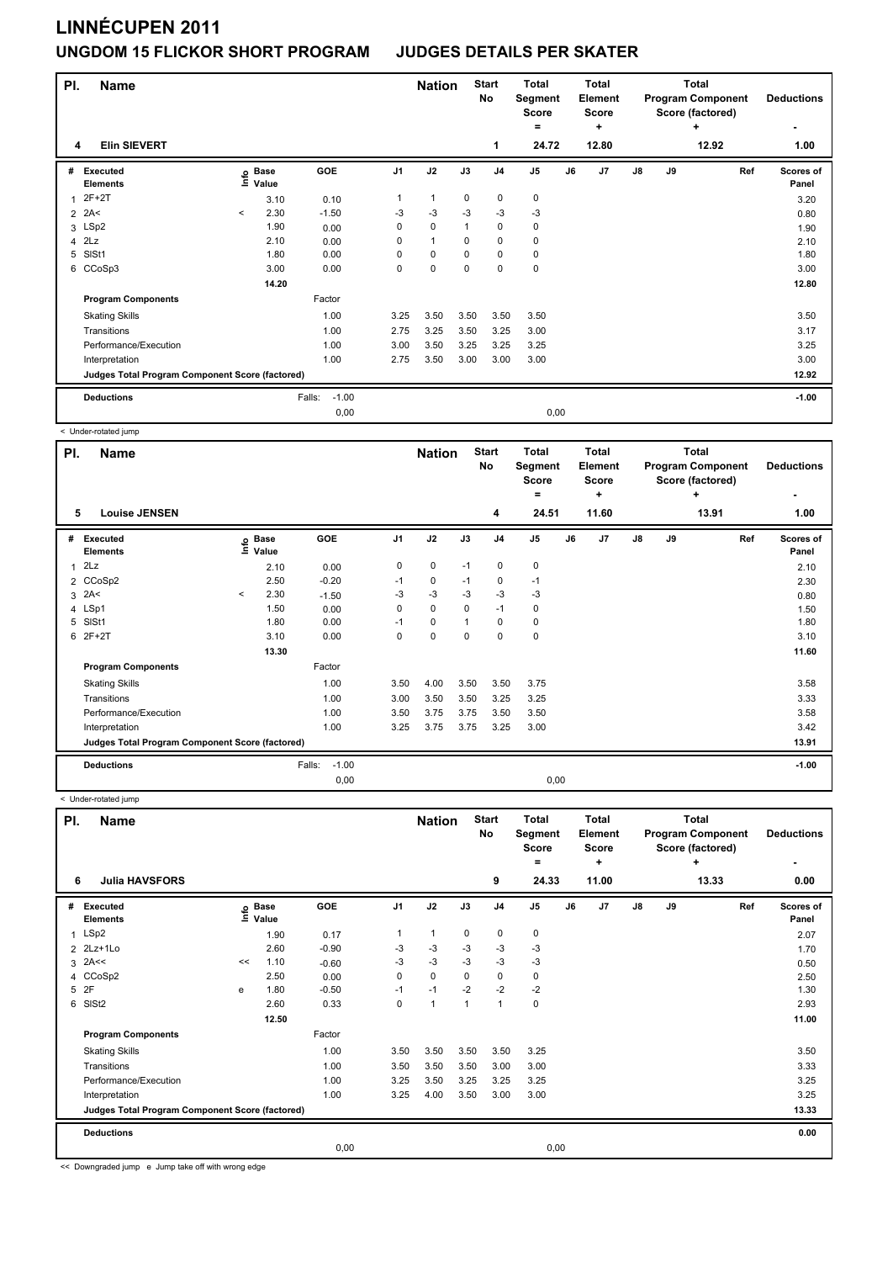| PI. | <b>Name</b>                                     |         |                            |                   |                | <b>Nation</b> |              | <b>Start</b><br><b>No</b> | <b>Total</b><br>Segment<br><b>Score</b><br>$=$ |    | <b>Total</b><br>Element<br><b>Score</b><br>٠ |               |    | <b>Total</b><br><b>Program Component</b><br>Score (factored)<br>÷ | <b>Deductions</b><br>٠ |
|-----|-------------------------------------------------|---------|----------------------------|-------------------|----------------|---------------|--------------|---------------------------|------------------------------------------------|----|----------------------------------------------|---------------|----|-------------------------------------------------------------------|------------------------|
| 4   | <b>Elin SIEVERT</b>                             |         |                            |                   |                |               |              | 1                         | 24.72                                          |    | 12.80                                        |               |    | 12.92                                                             | 1.00                   |
| #   | Executed<br><b>Elements</b>                     |         | e Base<br>E Value<br>Value | GOE               | J <sub>1</sub> | J2            | J3           | J <sub>4</sub>            | J5                                             | J6 | J7                                           | $\mathsf{J}8$ | J9 | Ref                                                               | Scores of<br>Panel     |
| 1   | $2F+2T$                                         |         | 3.10                       | 0.10              |                | 1             | $\mathbf 0$  | 0                         | $\mathbf 0$                                    |    |                                              |               |    |                                                                   | 3.20                   |
|     | $2$ 2A<                                         | $\prec$ | 2.30                       | $-1.50$           | $-3$           | $-3$          | $-3$         | $-3$                      | $-3$                                           |    |                                              |               |    |                                                                   | 0.80                   |
|     | 3 LSp2                                          |         | 1.90                       | 0.00              | 0              | $\mathbf 0$   | $\mathbf{1}$ | $\pmb{0}$                 | 0                                              |    |                                              |               |    |                                                                   | 1.90                   |
| 4   | 2Lz                                             |         | 2.10                       | 0.00              | 0              | 1             | $\Omega$     | 0                         | 0                                              |    |                                              |               |    |                                                                   | 2.10                   |
| 5   | SISt1                                           |         | 1.80                       | 0.00              | 0              | $\mathbf 0$   | 0            | 0                         | 0                                              |    |                                              |               |    |                                                                   | 1.80                   |
|     | 6 CCoSp3                                        |         | 3.00                       | 0.00              | 0              | $\mathbf 0$   | $\mathbf 0$  | $\mathbf 0$               | 0                                              |    |                                              |               |    |                                                                   | 3.00                   |
|     |                                                 |         | 14.20                      |                   |                |               |              |                           |                                                |    |                                              |               |    |                                                                   | 12.80                  |
|     | <b>Program Components</b>                       |         |                            | Factor            |                |               |              |                           |                                                |    |                                              |               |    |                                                                   |                        |
|     | <b>Skating Skills</b>                           |         |                            | 1.00              | 3.25           | 3.50          | 3.50         | 3.50                      | 3.50                                           |    |                                              |               |    |                                                                   | 3.50                   |
|     | Transitions                                     |         |                            | 1.00              | 2.75           | 3.25          | 3.50         | 3.25                      | 3.00                                           |    |                                              |               |    |                                                                   | 3.17                   |
|     | Performance/Execution                           |         |                            | 1.00              | 3.00           | 3.50          | 3.25         | 3.25                      | 3.25                                           |    |                                              |               |    |                                                                   | 3.25                   |
|     | Interpretation                                  |         |                            | 1.00              | 2.75           | 3.50          | 3.00         | 3.00                      | 3.00                                           |    |                                              |               |    |                                                                   | 3.00                   |
|     | Judges Total Program Component Score (factored) |         |                            |                   |                |               |              |                           |                                                |    |                                              |               |    |                                                                   | 12.92                  |
|     | <b>Deductions</b>                               |         |                            | Falls:<br>$-1.00$ |                |               |              |                           |                                                |    |                                              |               |    |                                                                   | $-1.00$                |
|     |                                                 |         |                            | 0,00              |                |               |              |                           | 0,00                                           |    |                                              |               |    |                                                                   |                        |

< Under-rotated jump

| PI. | <b>Name</b>                                     |         |                            |                   |                | <b>Nation</b> |             | <b>Start</b><br>No | <b>Total</b><br>Segment<br><b>Score</b> |    | <b>Total</b><br>Element<br><b>Score</b> |               |    | <b>Total</b><br><b>Program Component</b><br>Score (factored) | <b>Deductions</b>  |
|-----|-------------------------------------------------|---------|----------------------------|-------------------|----------------|---------------|-------------|--------------------|-----------------------------------------|----|-----------------------------------------|---------------|----|--------------------------------------------------------------|--------------------|
|     |                                                 |         |                            |                   |                |               |             |                    | =                                       |    | ÷                                       |               |    | ÷                                                            |                    |
| 5   | <b>Louise JENSEN</b>                            |         |                            |                   |                |               |             | 4                  | 24.51                                   |    | 11.60                                   |               |    | 13.91                                                        | 1.00               |
| #   | Executed<br><b>Elements</b>                     |         | e Base<br>E Value<br>Value | <b>GOE</b>        | J <sub>1</sub> | J2            | J3          | J <sub>4</sub>     | J <sub>5</sub>                          | J6 | J7                                      | $\mathsf{J}8$ | J9 | Ref                                                          | Scores of<br>Panel |
| 1   | 2Lz                                             |         | 2.10                       | 0.00              | 0              | 0             | $-1$        | 0                  | $\pmb{0}$                               |    |                                         |               |    |                                                              | 2.10               |
|     | 2 CCoSp2                                        |         | 2.50                       | $-0.20$           | $-1$           | $\mathbf 0$   | $-1$        | $\mathbf 0$        | $-1$                                    |    |                                         |               |    |                                                              | 2.30               |
| 3   | 2A<                                             | $\,<\,$ | 2.30                       | $-1.50$           | -3             | $-3$          | $-3$        | $-3$               | $-3$                                    |    |                                         |               |    |                                                              | 0.80               |
| 4   | LSp1                                            |         | 1.50                       | 0.00              | 0              | $\mathbf 0$   | 0           | $-1$               | 0                                       |    |                                         |               |    |                                                              | 1.50               |
| 5   | SISt1                                           |         | 1.80                       | 0.00              | $-1$           | $\mathbf 0$   | 1           | $\mathbf 0$        | $\pmb{0}$                               |    |                                         |               |    |                                                              | 1.80               |
| 6   | $2F+2T$                                         |         | 3.10                       | 0.00              | 0              | $\mathbf 0$   | $\mathbf 0$ | $\mathbf 0$        | $\pmb{0}$                               |    |                                         |               |    |                                                              | 3.10               |
|     |                                                 |         | 13.30                      |                   |                |               |             |                    |                                         |    |                                         |               |    |                                                              | 11.60              |
|     | <b>Program Components</b>                       |         |                            | Factor            |                |               |             |                    |                                         |    |                                         |               |    |                                                              |                    |
|     | <b>Skating Skills</b>                           |         |                            | 1.00              | 3.50           | 4.00          | 3.50        | 3.50               | 3.75                                    |    |                                         |               |    |                                                              | 3.58               |
|     | Transitions                                     |         |                            | 1.00              | 3.00           | 3.50          | 3.50        | 3.25               | 3.25                                    |    |                                         |               |    |                                                              | 3.33               |
|     | Performance/Execution                           |         |                            | 1.00              | 3.50           | 3.75          | 3.75        | 3.50               | 3.50                                    |    |                                         |               |    |                                                              | 3.58               |
|     | Interpretation                                  |         |                            | 1.00              | 3.25           | 3.75          | 3.75        | 3.25               | 3.00                                    |    |                                         |               |    |                                                              | 3.42               |
|     | Judges Total Program Component Score (factored) |         |                            |                   |                |               |             |                    |                                         |    |                                         |               |    |                                                              | 13.91              |
|     | <b>Deductions</b>                               |         |                            | $-1.00$<br>Falls: |                |               |             |                    |                                         |    |                                         |               |    |                                                              | $-1.00$            |
|     |                                                 |         |                            | 0.00              |                |               |             |                    | 0,00                                    |    |                                         |               |    |                                                              |                    |

< Under-rotated jump

| PI.          | <b>Name</b>                                     |    |                                  |         |                | <b>Nation</b> |          | <b>Start</b><br>No | <b>Total</b><br>Segment<br><b>Score</b><br>۰ |    | <b>Total</b><br>Element<br><b>Score</b><br>÷ |               |    | <b>Total</b><br><b>Program Component</b><br>Score (factored)<br>÷ | <b>Deductions</b>  |
|--------------|-------------------------------------------------|----|----------------------------------|---------|----------------|---------------|----------|--------------------|----------------------------------------------|----|----------------------------------------------|---------------|----|-------------------------------------------------------------------|--------------------|
| 6            | <b>Julia HAVSFORS</b>                           |    |                                  |         |                |               |          | 9                  | 24.33                                        |    | 11.00                                        |               |    | 13.33                                                             | 0.00               |
| #            | <b>Executed</b><br><b>Elements</b>              |    | <b>Base</b><br>은 Base<br>드 Value | GOE     | J <sub>1</sub> | J2            | J3       | J <sub>4</sub>     | J <sub>5</sub>                               | J6 | J7                                           | $\mathsf{J}8$ | J9 | Ref                                                               | Scores of<br>Panel |
| $\mathbf{1}$ | LSp2                                            |    | 1.90                             | 0.17    | 1              | $\mathbf{1}$  | 0        | 0                  | 0                                            |    |                                              |               |    |                                                                   | 2.07               |
|              | 2 2Lz+1Lo                                       |    | 2.60                             | $-0.90$ | $-3$           | $-3$          | $-3$     | $-3$               | $-3$                                         |    |                                              |               |    |                                                                   | 1.70               |
|              | $3$ 2A $\leq$                                   | << | 1.10                             | $-0.60$ | $-3$           | $-3$          | $-3$     | $-3$               | $-3$                                         |    |                                              |               |    |                                                                   | 0.50               |
|              | 4 CCoSp2                                        |    | 2.50                             | 0.00    | $\Omega$       | $\mathbf 0$   | $\Omega$ | 0                  | 0                                            |    |                                              |               |    |                                                                   | 2.50               |
| 5            | 2F                                              | e  | 1.80                             | $-0.50$ | $-1$           | $-1$          | $-2$     | $-2$               | $-2$                                         |    |                                              |               |    |                                                                   | 1.30               |
|              | 6 SISt2                                         |    | 2.60                             | 0.33    | 0              | $\mathbf{1}$  | 1        | $\overline{1}$     | $\pmb{0}$                                    |    |                                              |               |    |                                                                   | 2.93               |
|              |                                                 |    | 12.50                            |         |                |               |          |                    |                                              |    |                                              |               |    |                                                                   | 11.00              |
|              | <b>Program Components</b>                       |    |                                  | Factor  |                |               |          |                    |                                              |    |                                              |               |    |                                                                   |                    |
|              | <b>Skating Skills</b>                           |    |                                  | 1.00    | 3.50           | 3.50          | 3.50     | 3.50               | 3.25                                         |    |                                              |               |    |                                                                   | 3.50               |
|              | Transitions                                     |    |                                  | 1.00    | 3.50           | 3.50          | 3.50     | 3.00               | 3.00                                         |    |                                              |               |    |                                                                   | 3.33               |
|              | Performance/Execution                           |    |                                  | 1.00    | 3.25           | 3.50          | 3.25     | 3.25               | 3.25                                         |    |                                              |               |    |                                                                   | 3.25               |
|              | Interpretation                                  |    |                                  | 1.00    | 3.25           | 4.00          | 3.50     | 3.00               | 3.00                                         |    |                                              |               |    |                                                                   | 3.25               |
|              | Judges Total Program Component Score (factored) |    |                                  |         |                |               |          |                    |                                              |    |                                              |               |    |                                                                   | 13.33              |
|              | <b>Deductions</b>                               |    |                                  |         |                |               |          |                    |                                              |    |                                              |               |    |                                                                   | 0.00               |
|              |                                                 |    |                                  | 0,00    |                |               |          |                    | 0,00                                         |    |                                              |               |    |                                                                   |                    |

<< Downgraded jump e Jump take off with wrong edge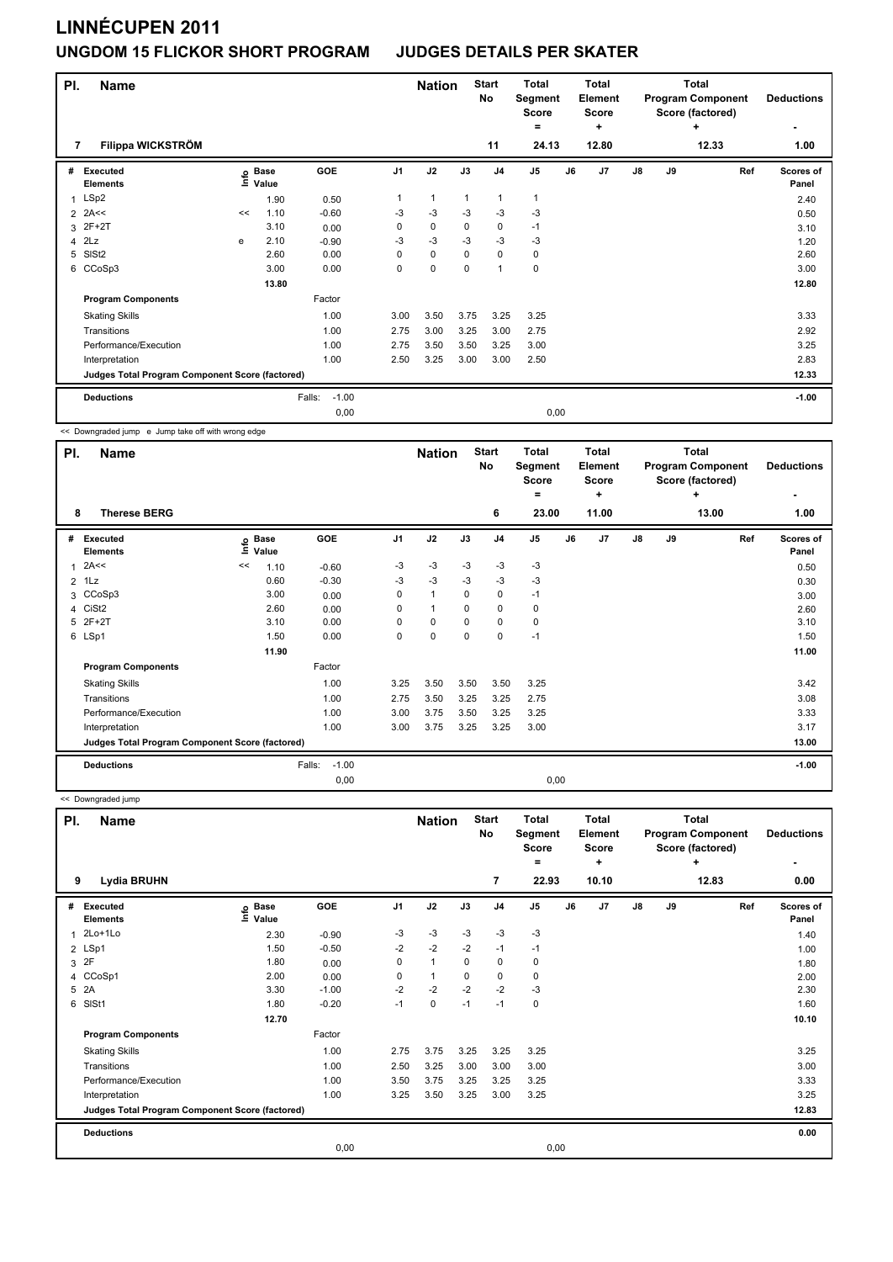| PI. | <b>Name</b>                                     |    |                      |                   |                | <b>Nation</b> |                | <b>Start</b><br>No      | <b>Total</b><br>Segment<br>Score<br>۰ |    | <b>Total</b><br>Element<br><b>Score</b><br>÷ |               |    | <b>Total</b><br><b>Program Component</b><br>Score (factored)<br>÷ | <b>Deductions</b>  |
|-----|-------------------------------------------------|----|----------------------|-------------------|----------------|---------------|----------------|-------------------------|---------------------------------------|----|----------------------------------------------|---------------|----|-------------------------------------------------------------------|--------------------|
| 7   | Filippa WICKSTRÖM                               |    |                      |                   |                |               |                | 11                      | 24.13                                 |    | 12.80                                        |               |    | 12.33                                                             | 1.00               |
| #   | Executed<br><b>Elements</b>                     | e  | <b>Base</b><br>Value | GOE               | J <sub>1</sub> | J2            | J3             | J <sub>4</sub>          | J <sub>5</sub>                        | J6 | J7                                           | $\mathsf{J}8$ | J9 | Ref                                                               | Scores of<br>Panel |
| 1   | LSp2                                            |    | 1.90                 | 0.50              | 1              | $\mathbf{1}$  | $\overline{1}$ | $\overline{\mathbf{1}}$ | $\mathbf{1}$                          |    |                                              |               |    |                                                                   | 2.40               |
|     | $2$ 2A<<                                        | << | 1.10                 | $-0.60$           | $-3$           | $-3$          | -3             | $-3$                    | -3                                    |    |                                              |               |    |                                                                   | 0.50               |
|     | 3 2F+2T                                         |    | 3.10                 | 0.00              | 0              | $\mathbf 0$   | 0              | 0                       | $-1$                                  |    |                                              |               |    |                                                                   | 3.10               |
|     | $4$ $2Lz$                                       | e  | 2.10                 | $-0.90$           | -3             | $-3$          | $-3$           | $-3$                    | $-3$                                  |    |                                              |               |    |                                                                   | 1.20               |
| 5   | SISt <sub>2</sub>                               |    | 2.60                 | 0.00              | 0              | $\mathbf 0$   | 0              | 0                       | 0                                     |    |                                              |               |    |                                                                   | 2.60               |
|     | 6 CCoSp3                                        |    | 3.00                 | 0.00              | 0              | $\pmb{0}$     | 0              | $\overline{1}$          | 0                                     |    |                                              |               |    |                                                                   | 3.00               |
|     |                                                 |    | 13.80                |                   |                |               |                |                         |                                       |    |                                              |               |    |                                                                   | 12.80              |
|     | <b>Program Components</b>                       |    |                      | Factor            |                |               |                |                         |                                       |    |                                              |               |    |                                                                   |                    |
|     | <b>Skating Skills</b>                           |    |                      | 1.00              | 3.00           | 3.50          | 3.75           | 3.25                    | 3.25                                  |    |                                              |               |    |                                                                   | 3.33               |
|     | Transitions                                     |    |                      | 1.00              | 2.75           | 3.00          | 3.25           | 3.00                    | 2.75                                  |    |                                              |               |    |                                                                   | 2.92               |
|     | Performance/Execution                           |    |                      | 1.00              | 2.75           | 3.50          | 3.50           | 3.25                    | 3.00                                  |    |                                              |               |    |                                                                   | 3.25               |
|     | Interpretation                                  |    |                      | 1.00              | 2.50           | 3.25          | 3.00           | 3.00                    | 2.50                                  |    |                                              |               |    |                                                                   | 2.83               |
|     | Judges Total Program Component Score (factored) |    |                      |                   |                |               |                |                         |                                       |    |                                              |               |    |                                                                   | 12.33              |
|     | <b>Deductions</b>                               |    |                      | $-1.00$<br>Falls: |                |               |                |                         |                                       |    |                                              |               |    |                                                                   | $-1.00$            |
|     |                                                 |    |                      | 0,00              |                |               |                |                         | 0,00                                  |    |                                              |               |    |                                                                   |                    |

<< Downgraded jump e Jump take off with wrong edge

| PI. | <b>Name</b>                                     |      |                      |                   |                | <b>Nation</b>  |          | <b>Start</b><br><b>No</b> | <b>Total</b><br>Segment<br><b>Score</b><br>$=$ |    | Total<br>Element<br>Score<br>٠ |               |    | Total<br><b>Program Component</b><br>Score (factored)<br>÷ | <b>Deductions</b>  |
|-----|-------------------------------------------------|------|----------------------|-------------------|----------------|----------------|----------|---------------------------|------------------------------------------------|----|--------------------------------|---------------|----|------------------------------------------------------------|--------------------|
| 8   | <b>Therese BERG</b>                             |      |                      |                   |                |                |          | 6                         | 23.00                                          |    | 11.00                          |               |    | 13.00                                                      | 1.00               |
| #   | <b>Executed</b><br><b>Elements</b>              | lnfo | <b>Base</b><br>Value | GOE               | J <sub>1</sub> | J2             | J3       | J <sub>4</sub>            | J <sub>5</sub>                                 | J6 | J7                             | $\mathsf{J}8$ | J9 | Ref                                                        | Scores of<br>Panel |
| 1   | 2A<<                                            | <<   | 1.10                 | $-0.60$           | -3             | $-3$           | -3       | -3                        | $-3$                                           |    |                                |               |    |                                                            | 0.50               |
|     | $2$ 1 Lz                                        |      | 0.60                 | $-0.30$           | $-3$           | $-3$           | -3       | $-3$                      | $-3$                                           |    |                                |               |    |                                                            | 0.30               |
|     | 3 CCoSp3                                        |      | 3.00                 | 0.00              | 0              | $\overline{1}$ | 0        | 0                         | $-1$                                           |    |                                |               |    |                                                            | 3.00               |
| 4   | CiSt <sub>2</sub>                               |      | 2.60                 | 0.00              | 0              | 1              | $\Omega$ | 0                         | 0                                              |    |                                |               |    |                                                            | 2.60               |
| 5   | 2F+2T                                           |      | 3.10                 | 0.00              | 0              | 0              | 0        | 0                         | 0                                              |    |                                |               |    |                                                            | 3.10               |
|     | 6 LSp1                                          |      | 1.50                 | 0.00              | 0              | $\mathbf 0$    | 0        | 0                         | $-1$                                           |    |                                |               |    |                                                            | 1.50               |
|     |                                                 |      | 11.90                |                   |                |                |          |                           |                                                |    |                                |               |    |                                                            | 11.00              |
|     | <b>Program Components</b>                       |      |                      | Factor            |                |                |          |                           |                                                |    |                                |               |    |                                                            |                    |
|     | <b>Skating Skills</b>                           |      |                      | 1.00              | 3.25           | 3.50           | 3.50     | 3.50                      | 3.25                                           |    |                                |               |    |                                                            | 3.42               |
|     | Transitions                                     |      |                      | 1.00              | 2.75           | 3.50           | 3.25     | 3.25                      | 2.75                                           |    |                                |               |    |                                                            | 3.08               |
|     | Performance/Execution                           |      |                      | 1.00              | 3.00           | 3.75           | 3.50     | 3.25                      | 3.25                                           |    |                                |               |    |                                                            | 3.33               |
|     | Interpretation                                  |      |                      | 1.00              | 3.00           | 3.75           | 3.25     | 3.25                      | 3.00                                           |    |                                |               |    |                                                            | 3.17               |
|     | Judges Total Program Component Score (factored) |      |                      |                   |                |                |          |                           |                                                |    |                                |               |    |                                                            | 13.00              |
|     | <b>Deductions</b>                               |      |                      | $-1.00$<br>Falls: |                |                |          |                           |                                                |    |                                |               |    |                                                            | $-1.00$            |
|     |                                                 |      |                      | 0.00              |                |                |          |                           | 0,00                                           |    |                                |               |    |                                                            |                    |

<< Downgraded jump

| PI.            | <b>Name</b>                                     |                              |         |                | <b>Nation</b> |             | <b>Start</b><br>No | Total<br>Segment<br><b>Score</b><br>= |      | <b>Total</b><br>Element<br><b>Score</b><br>٠ |               |    | Total<br><b>Program Component</b><br>Score (factored)<br>٠ | <b>Deductions</b>         |
|----------------|-------------------------------------------------|------------------------------|---------|----------------|---------------|-------------|--------------------|---------------------------------------|------|----------------------------------------------|---------------|----|------------------------------------------------------------|---------------------------|
| 9              | <b>Lydia BRUHN</b>                              |                              |         |                |               |             | $\overline{7}$     | 22.93                                 |      | 10.10                                        |               |    | 12.83                                                      | 0.00                      |
| #              | <b>Executed</b><br><b>Elements</b>              | <b>Base</b><br>lnfo<br>Value | GOE     | J <sub>1</sub> | J2            | J3          | J <sub>4</sub>     | J <sub>5</sub>                        | J6   | J <sub>7</sub>                               | $\mathsf{J}8$ | J9 | Ref                                                        | <b>Scores of</b><br>Panel |
| 1              | $2Lo+1Lo$                                       | 2.30                         | $-0.90$ | $-3$           | $-3$          | $-3$        | $-3$               | $-3$                                  |      |                                              |               |    |                                                            | 1.40                      |
|                | 2 LSp1                                          | 1.50                         | $-0.50$ | $-2$           | $-2$          | $-2$        | $-1$               | $-1$                                  |      |                                              |               |    |                                                            | 1.00                      |
| 3              | 2F                                              | 1.80                         | 0.00    | 0              | $\mathbf{1}$  | $\mathbf 0$ | $\pmb{0}$          | 0                                     |      |                                              |               |    |                                                            | 1.80                      |
| $\overline{4}$ | CCoSp1                                          | 2.00                         | 0.00    | 0              | $\mathbf{1}$  | 0           | $\mathbf 0$        | 0                                     |      |                                              |               |    |                                                            | 2.00                      |
| 5              | 2A                                              | 3.30                         | $-1.00$ | $-2$           | $-2$          | $-2$        | $-2$               | $-3$                                  |      |                                              |               |    |                                                            | 2.30                      |
| 6              | SISt1                                           | 1.80                         | $-0.20$ | $-1$           | $\pmb{0}$     | $-1$        | $-1$               | 0                                     |      |                                              |               |    |                                                            | 1.60                      |
|                |                                                 | 12.70                        |         |                |               |             |                    |                                       |      |                                              |               |    |                                                            | 10.10                     |
|                | <b>Program Components</b>                       |                              | Factor  |                |               |             |                    |                                       |      |                                              |               |    |                                                            |                           |
|                | <b>Skating Skills</b>                           |                              | 1.00    | 2.75           | 3.75          | 3.25        | 3.25               | 3.25                                  |      |                                              |               |    |                                                            | 3.25                      |
|                | Transitions                                     |                              | 1.00    | 2.50           | 3.25          | 3.00        | 3.00               | 3.00                                  |      |                                              |               |    |                                                            | 3.00                      |
|                | Performance/Execution                           |                              | 1.00    | 3.50           | 3.75          | 3.25        | 3.25               | 3.25                                  |      |                                              |               |    |                                                            | 3.33                      |
|                | Interpretation                                  |                              | 1.00    | 3.25           | 3.50          | 3.25        | 3.00               | 3.25                                  |      |                                              |               |    |                                                            | 3.25                      |
|                | Judges Total Program Component Score (factored) |                              |         |                |               |             |                    |                                       |      |                                              |               |    |                                                            | 12.83                     |
|                | <b>Deductions</b>                               |                              |         |                |               |             |                    |                                       |      |                                              |               |    |                                                            | 0.00                      |
|                |                                                 |                              | 0,00    |                |               |             |                    |                                       | 0,00 |                                              |               |    |                                                            |                           |